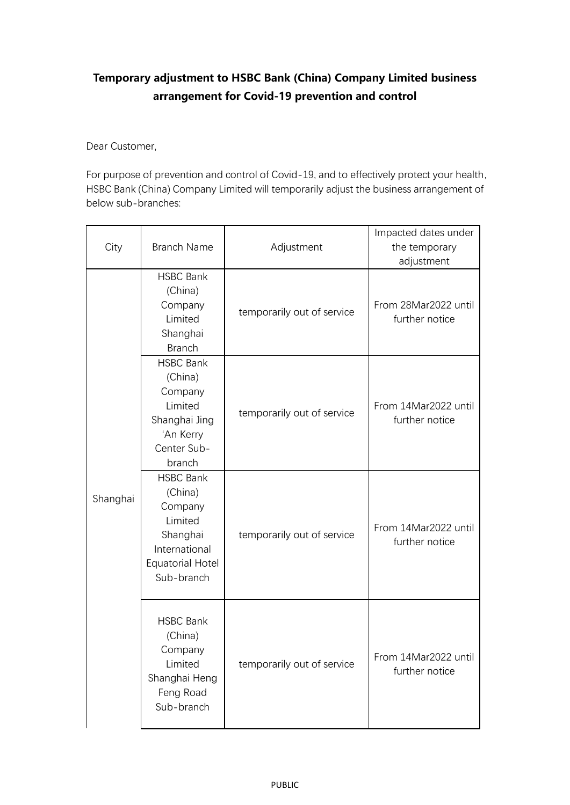## **Temporary adjustment to HSBC Bank (China) Company Limited business arrangement for Covid-19 prevention and control**

Dear Customer,

For purpose of prevention and control of Covid-19, and to effectively protect your health, HSBC Bank (China) Company Limited will temporarily adjust the business arrangement of below sub-branches:

| City     | <b>Branch Name</b>                                                                                                      | Adjustment                 | Impacted dates under<br>the temporary<br>adjustment |
|----------|-------------------------------------------------------------------------------------------------------------------------|----------------------------|-----------------------------------------------------|
| Shanghai | <b>HSBC Bank</b><br>(China)<br>Company<br>Limited<br>Shanghai<br><b>Branch</b>                                          | temporarily out of service | From 28Mar2022 until<br>further notice              |
|          | <b>HSBC Bank</b><br>(China)<br>Company<br>Limited<br>Shanghai Jing<br>'An Kerry<br>Center Sub-<br>branch                | temporarily out of service | From 14Mar2022 until<br>further notice              |
|          | <b>HSBC Bank</b><br>(China)<br>Company<br>Limited<br>Shanghai<br>International<br><b>Equatorial Hotel</b><br>Sub-branch | temporarily out of service | From 14Mar2022 until<br>further notice              |
|          | <b>HSBC Bank</b><br>(China)<br>Company<br>Limited<br>Shanghai Heng<br>Feng Road<br>Sub-branch                           | temporarily out of service | From 14Mar2022 until<br>further notice              |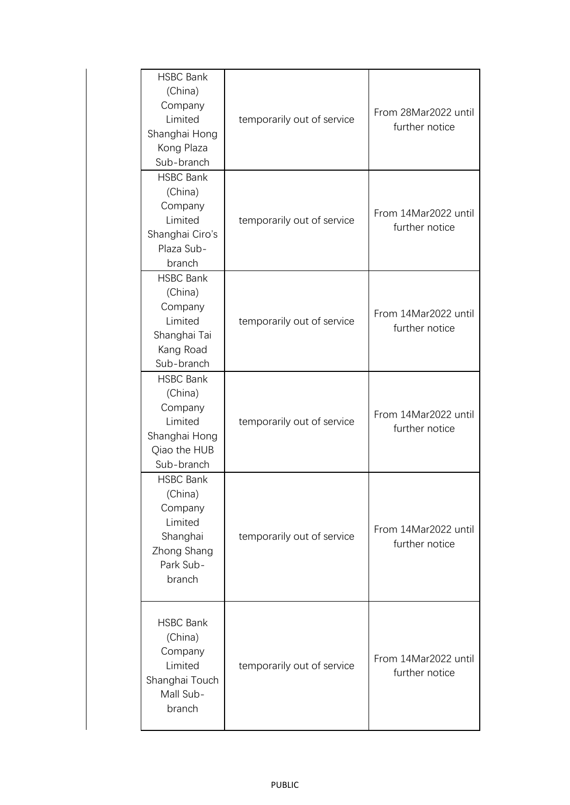| <b>HSBC Bank</b><br>(China)<br>Company<br>Limited<br>Shanghai Hong<br>Kong Plaza<br>Sub-branch      | temporarily out of service | From 28Mar2022 until<br>further notice |
|-----------------------------------------------------------------------------------------------------|----------------------------|----------------------------------------|
| <b>HSBC Bank</b><br>(China)<br>Company<br>Limited<br>Shanghai Ciro's<br>Plaza Sub-<br>branch        | temporarily out of service | From 14Mar2022 until<br>further notice |
| <b>HSBC Bank</b><br>(China)<br>Company<br>Limited<br>Shanghai Tai<br>Kang Road<br>Sub-branch        | temporarily out of service | From 14Mar2022 until<br>further notice |
| <b>HSBC Bank</b><br>(China)<br>Company<br>Limited<br>Shanghai Hong<br>Qiao the HUB<br>Sub-branch    | temporarily out of service | From 14Mar2022 until<br>further notice |
| <b>HSBC Bank</b><br>(China)<br>Company<br>Limited<br>Shanghai<br>Zhong Shang<br>Park Sub-<br>branch | temporarily out of service | From 14Mar2022 until<br>further notice |
| <b>HSBC Bank</b><br>(China)<br>Company<br>Limited<br>Shanghai Touch<br>Mall Sub-<br>branch          | temporarily out of service | From 14Mar2022 until<br>further notice |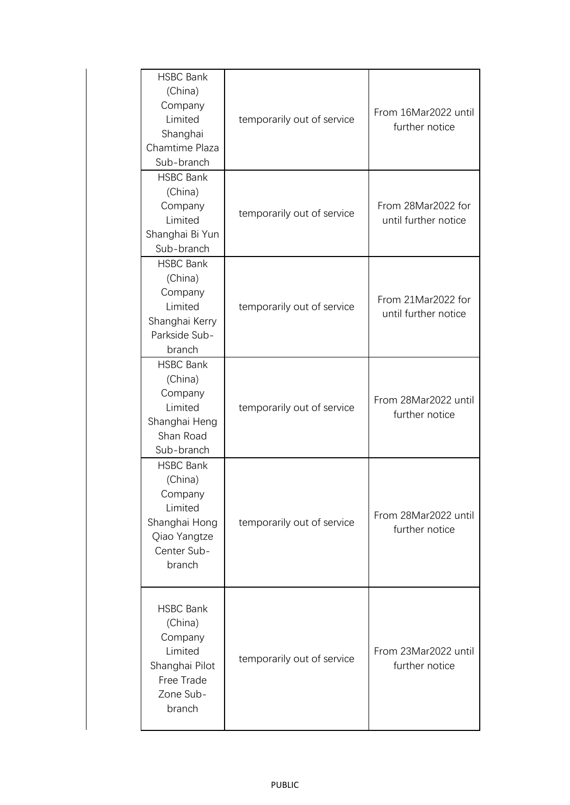| <b>HSBC Bank</b><br>(China)<br>Company<br>Limited<br>Shanghai<br>Chamtime Plaza<br>Sub-branch               | temporarily out of service | From 16Mar2022 until<br>further notice     |
|-------------------------------------------------------------------------------------------------------------|----------------------------|--------------------------------------------|
| <b>HSBC Bank</b><br>(China)<br>Company<br>Limited<br>Shanghai Bi Yun<br>Sub-branch                          | temporarily out of service | From 28Mar2022 for<br>until further notice |
| <b>HSBC Bank</b><br>(China)<br>Company<br>Limited<br>Shanghai Kerry<br>Parkside Sub-<br>branch              | temporarily out of service | From 21Mar2022 for<br>until further notice |
| <b>HSBC Bank</b><br>(China)<br>Company<br>Limited<br>Shanghai Heng<br>Shan Road<br>Sub-branch               | temporarily out of service | From 28Mar2022 until<br>further notice     |
| <b>HSBC Bank</b><br>(China)<br>Company<br>Limited<br>Shanghai Hong<br>Qiao Yangtze<br>Center Sub-<br>branch | temporarily out of service | From 28Mar2022 until<br>further notice     |
| <b>HSBC Bank</b><br>(China)<br>Company<br>Limited<br>Shanghai Pilot<br>Free Trade<br>Zone Sub-<br>branch    | temporarily out of service | From 23Mar2022 until<br>further notice     |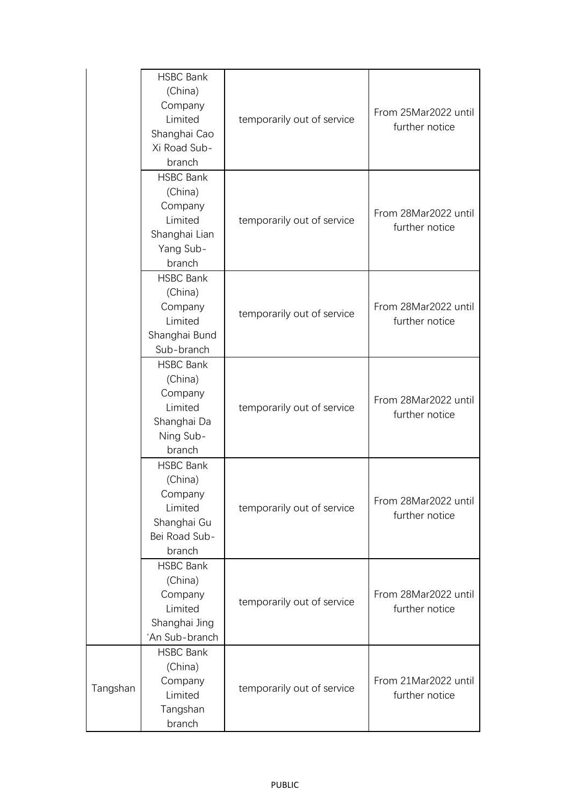|          | <b>HSBC Bank</b><br>(China)<br>Company<br>Limited<br>Shanghai Cao<br>Xi Road Sub-<br>branch | temporarily out of service | From 25Mar2022 until<br>further notice |
|----------|---------------------------------------------------------------------------------------------|----------------------------|----------------------------------------|
|          | <b>HSBC Bank</b><br>(China)<br>Company<br>Limited<br>Shanghai Lian<br>Yang Sub-<br>branch   | temporarily out of service | From 28Mar2022 until<br>further notice |
|          | <b>HSBC Bank</b><br>(China)<br>Company<br>Limited<br>Shanghai Bund<br>Sub-branch            | temporarily out of service | From 28Mar2022 until<br>further notice |
|          | <b>HSBC Bank</b><br>(China)<br>Company<br>Limited<br>Shanghai Da<br>Ning Sub-<br>branch     | temporarily out of service | From 28Mar2022 until<br>further notice |
|          | <b>HSBC Bank</b><br>(China)<br>Company<br>Limited<br>Shanghai Gu<br>Bei Road Sub-<br>branch | temporarily out of service | From 28Mar2022 until<br>further notice |
|          | <b>HSBC Bank</b><br>(China)<br>Company<br>Limited<br>Shanghai Jing<br>'An Sub-branch        | temporarily out of service | From 28Mar2022 until<br>further notice |
| Tangshan | <b>HSBC Bank</b><br>(China)<br>Company<br>Limited<br>Tangshan<br>branch                     | temporarily out of service | From 21Mar2022 until<br>further notice |